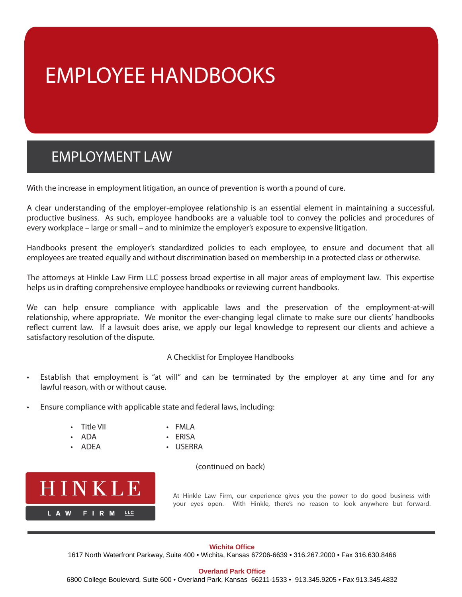# EMPLOYEE HANDBOOKS

## EMPLOYMENT LAW

With the increase in employment litigation, an ounce of prevention is worth a pound of cure.

A clear understanding of the employer-employee relationship is an essential element in maintaining a successful, productive business. As such, employee handbooks are a valuable tool to convey the policies and procedures of every workplace – large or small – and to minimize the employer's exposure to expensive litigation.

Handbooks present the employer's standardized policies to each employee, to ensure and document that all employees are treated equally and without discrimination based on membership in a protected class or otherwise.

The attorneys at Hinkle Law Firm LLC possess broad expertise in all major areas of employment law. This expertise helps us in drafting comprehensive employee handbooks or reviewing current handbooks.

We can help ensure compliance with applicable laws and the preservation of the employment-at-will relationship, where appropriate. We monitor the ever-changing legal climate to make sure our clients' handbooks reflect current law. If a lawsuit does arise, we apply our legal knowledge to represent our clients and achieve a satisfactory resolution of the dispute.

### A Checklist for Employee Handbooks

- Establish that employment is "at will" and can be terminated by the employer at any time and for any lawful reason, with or without cause.
- Ensure compliance with applicable state and federal laws, including:
	- Title VII FMLA
	- ADA ERISA
	-
- 
- 
- ADEA USERRA
	- (continued on back)



At Hinkle Law Firm, our experience gives you the power to do good business with your eyes open. With Hinkle, there's no reason to look anywhere but forward.

### **Wichita Office**

1617 North Waterfront Parkway, Suite 400 • Wichita, Kansas 67206-6639 • 316.267.2000 • Fax 316.630.8466

#### **Overland Park Office**

[6800 College Boulevard, Suite 600 • Overland Park, Kansas 66211-1533 • 913.345.9205 • Fax 913.345.4832](http://www.hinklaw.com/)